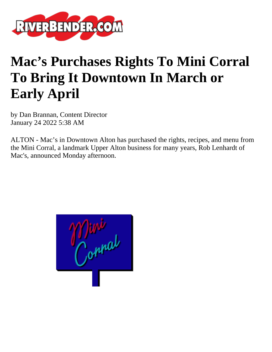

## **Mac's Purchases Rights To Mini Corral To Bring It Downtown In March or Early April**

by Dan Brannan, Content Director January 24 2022 5:38 AM

ALTON - Mac's in Downtown Alton has purchased the rights, recipes, and menu from the Mini Corral, a landmark Upper Alton business for many years, Rob Lenhardt of Mac's, announced Monday afternoon.